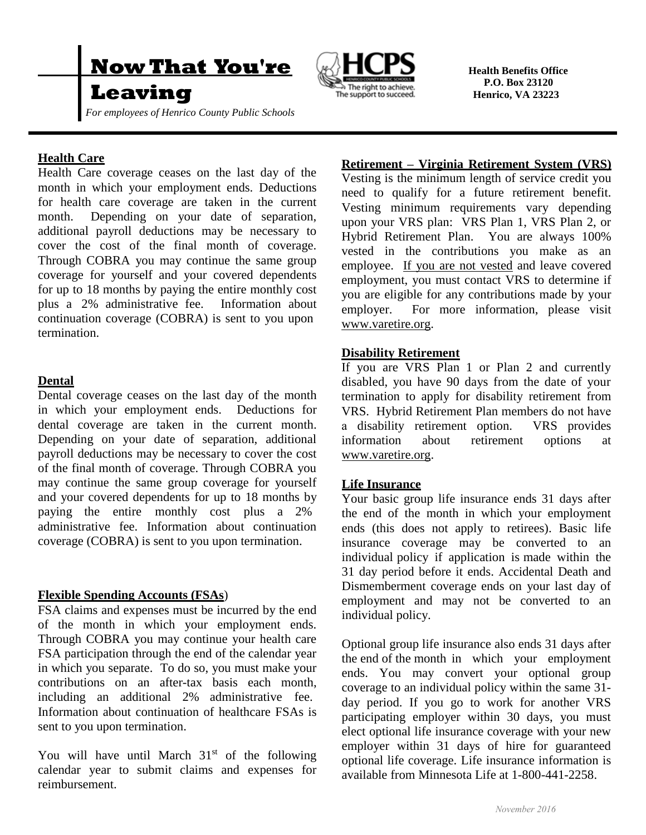

# **Leaving**

*For employees of Henrico County Public Schools*



 **Health Benefits Office P.O. Box 23120 Henrico, VA 23223**

# **Health Care**

Health Care coverage ceases on the last day of the month in which your employment ends. Deductions for health care coverage are taken in the current month. Depending on your date of separation, additional payroll deductions may be necessary to cover the cost of the final month of coverage. Through COBRA you may continue the same group coverage for yourself and your covered dependents for up to 18 months by paying the entire monthly cost plus a 2% administrative fee. Information about continuation coverage (COBRA) is sent to you upon termination.

### **Dental**

Dental coverage ceases on the last day of the month in which your employment ends. Deductions for dental coverage are taken in the current month. Depending on your date of separation, additional payroll deductions may be necessary to cover the cost of the final month of coverage. Through COBRA you may continue the same group coverage for yourself and your covered dependents for up to 18 months by paying the entire monthly cost plus a 2% administrative fee. Information about continuation coverage (COBRA) is sent to you upon termination.

#### **Flexible Spending Accounts (FSAs**)

FSA claims and expenses must be incurred by the end of the month in which your employment ends. Through COBRA you may continue your health care FSA participation through the end of the calendar year in which you separate. To do so, you must make your contributions on an after-tax basis each month, including an additional 2% administrative fee. Information about continuation of healthcare FSAs is sent to you upon termination.

You will have until March  $31<sup>st</sup>$  of the following calendar year to submit claims and expenses for reimbursement.

#### **Retirement – Virginia Retirement System (VRS)**

Vesting is the minimum length of service credit you need to qualify for a future retirement benefit. Vesting minimum requirements vary depending upon your VRS plan: VRS Plan 1, VRS Plan 2, or Hybrid Retirement Plan. You are always 100% vested in the contributions you make as an employee. If you are not vested and leave covered employment, you must contact VRS to determine if you are eligible for any contributions made by your employer. For more information, please visit www.varetire.org.

### **Disability Retirement**

If you are VRS Plan 1 or Plan 2 and currently disabled, you have 90 days from the date of your termination to apply for disability retirement from VRS. Hybrid Retirement Plan members do not have a disability retirement option. VRS provides information about retirement options at www.varetire.org.

#### **Life Insurance**

Your basic group life insurance ends 31 days after the end of the month in which your employment ends (this does not apply to retirees). Basic life insurance coverage may be converted to an individual policy if application is made within the 31 day period before it ends. Accidental Death and Dismemberment coverage ends on your last day of employment and may not be converted to an individual policy.

Optional group life insurance also ends 31 days after the end of the month in which your employment ends. You may convert your optional group coverage to an individual policy within the same 31 day period. If you go to work for another VRS participating employer within 30 days, you must elect optional life insurance coverage with your new employer within 31 days of hire for guaranteed optional life coverage. Life insurance information is available from Minnesota Life at 1-800-441-2258.